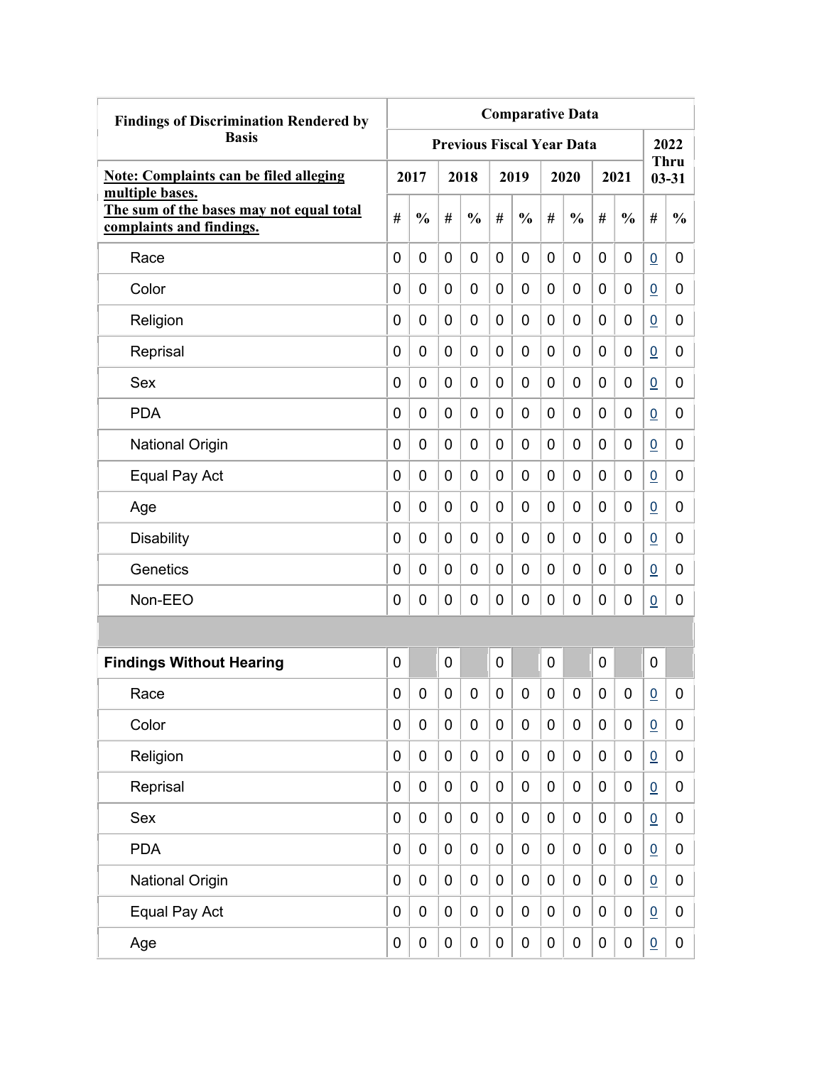| <b>Findings of Discrimination Rendered by</b>                                           | <b>Comparative Data</b> |               |             |                                  |                |               |             |               |   |                  |                 |                          |
|-----------------------------------------------------------------------------------------|-------------------------|---------------|-------------|----------------------------------|----------------|---------------|-------------|---------------|---|------------------|-----------------|--------------------------|
| <b>Basis</b>                                                                            |                         |               |             | <b>Previous Fiscal Year Data</b> |                |               |             |               |   |                  |                 | 2022                     |
| <b>Note: Complaints can be filed alleging</b>                                           |                         | 2017          |             | 2018                             |                | 2019          |             | 2020          |   | 2021             |                 | <b>Thru</b><br>$03 - 31$ |
| multiple bases.<br>The sum of the bases may not equal total<br>complaints and findings. | #                       | $\frac{0}{0}$ | #           | $\frac{0}{0}$                    | #              | $\frac{0}{0}$ | #           | $\frac{0}{0}$ | # | $\frac{0}{0}$    | #               | $\frac{0}{0}$            |
| Race                                                                                    | 0                       | 0             | 0           | $\overline{0}$                   | $\overline{0}$ | $\mathbf 0$   | 0           | 0             | 0 | 0                | $\overline{0}$  | 0                        |
| Color                                                                                   | 0                       | 0             | 0           | 0                                | 0              | 0             | 0           | 0             | 0 | 0                | $\overline{0}$  | 0                        |
| Religion                                                                                | 0                       | 0             | 0           | 0                                | 0              | 0             | 0           | 0             | 0 | 0                | $\overline{0}$  | 0                        |
| Reprisal                                                                                | 0                       | 0             | 0           | 0                                | 0              | 0             | 0           | 0             | 0 | 0                | $\overline{0}$  | 0                        |
| Sex                                                                                     | 0                       | 0             | 0           | 0                                | 0              | 0             | 0           | 0             | 0 | 0                | $\underline{0}$ | 0                        |
| <b>PDA</b>                                                                              | 0                       | 0             | 0           | $\overline{0}$                   | 0              | $\mathbf 0$   | 0           | 0             | 0 | 0                | $\overline{0}$  | 0                        |
| <b>National Origin</b>                                                                  | 0                       | 0             | 0           | 0                                | 0              | 0             | 0           | 0             | 0 | 0                | $\overline{0}$  | 0                        |
| Equal Pay Act                                                                           | 0                       | 0             | 0           | 0                                | 0              | 0             | 0           | 0             | 0 | 0                | $\overline{0}$  | 0                        |
| Age                                                                                     | 0                       | 0             | 0           | 0                                | 0              | 0             | 0           | 0             | 0 | 0                | $\overline{0}$  | 0                        |
| <b>Disability</b>                                                                       | 0                       | 0             | 0           | 0                                | 0              | 0             | 0           | 0             | 0 | 0                | $\overline{0}$  | 0                        |
| Genetics                                                                                | 0                       | 0             | 0           | 0                                | 0              | 0             | 0           | 0             | 0 | 0                | $\overline{0}$  | 0                        |
| Non-EEO                                                                                 | 0                       | 0             | 0           | 0                                | 0              | 0             | 0           | 0             | 0 | 0                | $\overline{0}$  | 0                        |
|                                                                                         |                         |               |             |                                  |                |               |             |               |   |                  |                 |                          |
| <b>Findings Without Hearing</b>                                                         | 0                       |               | 0           |                                  | 0              |               | 0           |               | 0 |                  | $\mathbf 0$     |                          |
| Race                                                                                    | 0                       | 0             | 0           | 0                                | 0              | 0             | 0           | 0             | 0 | 0                | $\overline{0}$  | 0                        |
| Color                                                                                   | 0                       | $\mathbf 0$   | $\pmb{0}$   | $\mathbf 0$                      | $\mathbf 0$    | $\mathbf 0$   | $\mathbf 0$ | 0             | 0 | $\boldsymbol{0}$ | $\underline{0}$ | 0                        |
| Religion                                                                                | 0                       | $\mathbf 0$   | $\pmb{0}$   | $\mathbf 0$                      | $\mathbf 0$    | $\mathbf 0$   | 0           | 0             | 0 | $\boldsymbol{0}$ | $\underline{0}$ | 0                        |
| Reprisal                                                                                | 0                       | $\mathbf 0$   | $\pmb{0}$   | $\mathbf 0$                      | $\mathbf 0$    | $\mathbf 0$   | $\mathbf 0$ | 0             | 0 | $\boldsymbol{0}$ | $\underline{0}$ | 0                        |
| Sex                                                                                     | 0                       | $\mathbf 0$   | $\pmb{0}$   | $\mathbf 0$                      | $\mathbf 0$    | $\mathbf 0$   | $\mathbf 0$ | 0             | 0 | $\pmb{0}$        | $\underline{0}$ | 0                        |
| <b>PDA</b>                                                                              | 0                       | $\mathbf 0$   | $\pmb{0}$   | $\mathbf 0$                      | $\mathbf 0$    | $\mathbf 0$   | $\mathbf 0$ | $\pmb{0}$     | 0 | $\mathbf 0$      | $\underline{0}$ | 0                        |
| <b>National Origin</b>                                                                  | 0                       | $\mathbf 0$   | $\pmb{0}$   | $\mathbf 0$                      | $\mathbf 0$    | $\pmb{0}$     | $\mathbf 0$ | 0             | 0 | $\pmb{0}$        | $\overline{0}$  | 0                        |
| Equal Pay Act                                                                           | 0                       | $\mathbf 0$   | $\mathbf 0$ | 0                                | $\mathbf 0$    | $\pmb{0}$     | 0           | 0             | 0 | 0                | $\underline{0}$ | 0                        |
| Age                                                                                     | 0                       | $\pmb{0}$     | 0           | $\pmb{0}$                        | $\pmb{0}$      | $\pmb{0}$     | 0           | 0             | 0 | $\pmb{0}$        | $\overline{0}$  | $\mathbf 0$              |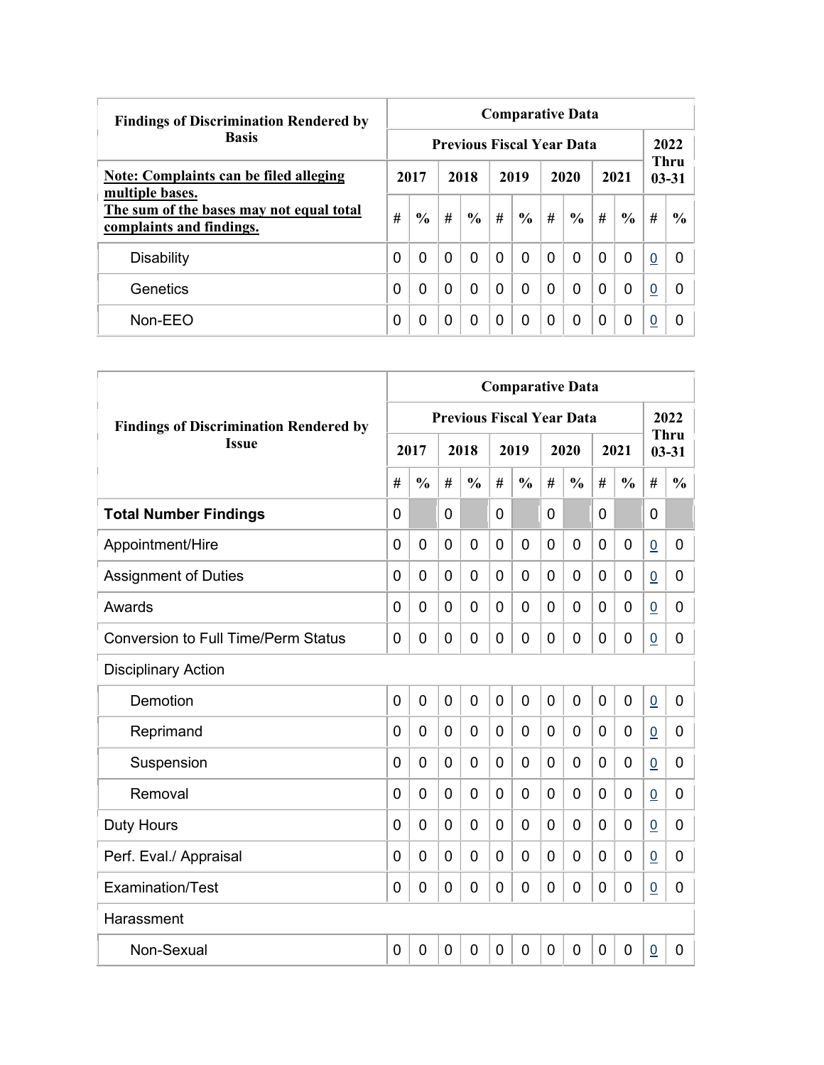| <b>Findings of Discrimination Rendered by</b>                        |   | <b>Comparative Data</b> |          |               |                                  |               |          |               |          |                                  |          |               |  |  |  |
|----------------------------------------------------------------------|---|-------------------------|----------|---------------|----------------------------------|---------------|----------|---------------|----------|----------------------------------|----------|---------------|--|--|--|
| <b>Basis</b>                                                         |   |                         |          |               | <b>Previous Fiscal Year Data</b> |               |          |               |          |                                  |          | 2022          |  |  |  |
| <b>Note: Complaints can be filed alleging</b><br>multiple bases.     |   | 2017                    | 2018     |               | 2019                             |               | 2020     |               |          | <b>Thru</b><br>2021<br>$03 - 31$ |          |               |  |  |  |
| The sum of the bases may not equal total<br>complaints and findings. | # | $\frac{0}{0}$           | #        | $\frac{6}{6}$ | #                                | $\frac{0}{0}$ | #        | $\frac{6}{6}$ | #        | $\frac{6}{6}$                    | #        | $\frac{6}{9}$ |  |  |  |
| <b>Disability</b>                                                    | 0 | $\Omega$                | $\Omega$ | 0             | $\Omega$                         | $\Omega$      | $\Omega$ | 0             | $\Omega$ | $\Omega$                         | 0        | <sup>0</sup>  |  |  |  |
| Genetics                                                             | 0 | $\Omega$                | $\Omega$ | 0             | $\Omega$                         | 0             | $\Omega$ | 0             | $\Omega$ | $\overline{0}$                   | $\bf{0}$ | 0             |  |  |  |
| Non-EEO                                                              | 0 | 0                       | 0        | 0             | $\Omega$                         | 0             | $\Omega$ | 0             | 0        | 0                                | 0        |               |  |  |  |

| <b>Comparative Data</b>                       |                |                |   |                |                |                |             |                                  |             |                |                 |                          |
|-----------------------------------------------|----------------|----------------|---|----------------|----------------|----------------|-------------|----------------------------------|-------------|----------------|-----------------|--------------------------|
| <b>Findings of Discrimination Rendered by</b> |                |                |   |                |                |                |             | <b>Previous Fiscal Year Data</b> |             |                |                 | 2022                     |
| <b>Issue</b>                                  |                | 2017           |   | 2018           |                | 2019           |             | 2020                             |             | 2021           |                 | <b>Thru</b><br>$03 - 31$ |
|                                               | #              | $\frac{0}{0}$  | # | $\frac{0}{0}$  | #              | $\frac{0}{0}$  | #           | $\frac{0}{0}$                    | #           | $\frac{0}{0}$  | #               | $\frac{0}{0}$            |
| <b>Total Number Findings</b>                  | $\mathbf{0}$   |                | 0 |                | $\mathbf 0$    |                | 0           |                                  | $\mathbf 0$ |                | 0               |                          |
| Appointment/Hire                              | $\mathbf 0$    | $\mathbf 0$    | 0 | $\overline{0}$ | $\overline{0}$ | $\mathbf 0$    | 0           | 0                                | $\mathbf 0$ | $\mathbf 0$    | $\underline{0}$ | 0                        |
| <b>Assignment of Duties</b>                   | $\mathbf 0$    | 0              | 0 | $\overline{0}$ | $\overline{0}$ | $\overline{0}$ | 0           | 0                                | $\mathbf 0$ | $\mathbf 0$    | $\underline{0}$ | 0                        |
| Awards                                        | $\Omega$       | 0              | 0 | 0              | 0              | 0              | 0           | 0                                | 0           | 0              | $\underline{0}$ | 0                        |
| <b>Conversion to Full Time/Perm Status</b>    | $\Omega$       | 0              | 0 | $\overline{0}$ | $\mathbf 0$    | 0              | 0           | 0                                | 0           | $\mathbf 0$    | $\overline{0}$  | 0                        |
| <b>Disciplinary Action</b>                    |                |                |   |                |                |                |             |                                  |             |                |                 |                          |
| Demotion                                      | $\overline{0}$ | $\overline{0}$ | 0 | $\overline{0}$ | $\mathbf 0$    | $\overline{0}$ | $\mathbf 0$ | 0                                | $\mathbf 0$ | $\overline{0}$ | $\underline{0}$ | 0                        |
| Reprimand                                     | $\Omega$       | $\Omega$       | 0 | $\overline{0}$ | $\mathbf 0$    | 0              | $\Omega$    | 0                                | 0           | $\mathbf 0$    | $\underline{0}$ | 0                        |
| Suspension                                    | 0              | 0              | 0 | $\overline{0}$ | $\mathbf 0$    | 0              | 0           | 0                                | 0           | 0              | $\overline{0}$  | 0                        |
| Removal                                       | 0              | 0              | 0 | $\overline{0}$ | $\mathbf 0$    | 0              | 0           | 0                                | 0           | $\overline{0}$ | $\underline{0}$ | 0                        |
| <b>Duty Hours</b>                             | $\Omega$       | 0              | 0 | $\overline{0}$ | $\mathbf 0$    | 0              | 0           | 0                                | 0           | $\overline{0}$ | $\underline{0}$ | 0                        |
| Perf. Eval./ Appraisal                        | $\overline{0}$ | 0              | 0 | $\mathbf 0$    | $\mathbf 0$    | $\overline{0}$ | 0           | 0                                | $\mathbf 0$ | $\mathbf 0$    | $\overline{0}$  | 0                        |
| Examination/Test                              | 0              | $\mathbf 0$    | 0 | $\overline{0}$ | $\mathbf 0$    | 0              | 0           | 0                                | 0           | 0              | $\underline{0}$ | 0                        |
| Harassment                                    |                |                |   |                |                |                |             |                                  |             |                |                 |                          |
| Non-Sexual                                    | 0              | $\mathbf 0$    | 0 | $\overline{0}$ | $\mathbf{0}$   | 0              | 0           | 0                                | $\mathbf 0$ | $\overline{0}$ | $\underline{0}$ | 0                        |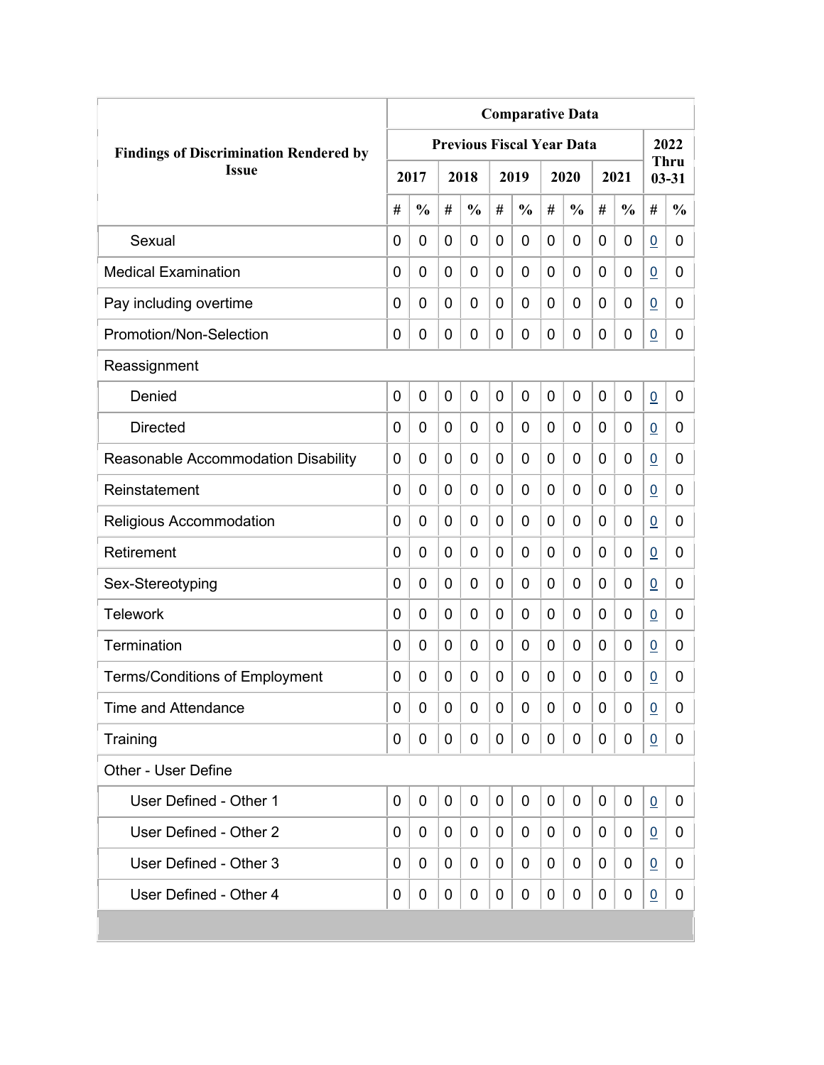|                                               | <b>Comparative Data</b> |               |                |                                  |   |               |   |               |   |               |                 |                   |  |
|-----------------------------------------------|-------------------------|---------------|----------------|----------------------------------|---|---------------|---|---------------|---|---------------|-----------------|-------------------|--|
| <b>Findings of Discrimination Rendered by</b> |                         |               |                | <b>Previous Fiscal Year Data</b> |   |               |   |               |   |               |                 | 2022              |  |
| <b>Issue</b>                                  |                         | 2017          |                | 2018                             |   | 2019          |   | 2020          |   | 2021          |                 | Thru<br>$03 - 31$ |  |
|                                               | #                       | $\frac{0}{0}$ | #              | $\frac{0}{0}$                    | # | $\frac{0}{0}$ | # | $\frac{0}{0}$ | # | $\frac{0}{0}$ | #               | $\frac{0}{0}$     |  |
| Sexual                                        | 0                       | 0             | 0              | 0                                | 0 | 0             | 0 | 0             | 0 | 0             | $\underline{0}$ | 0                 |  |
| <b>Medical Examination</b>                    | 0                       | 0             | 0              | 0                                | 0 | 0             | 0 | 0             | 0 | 0             | $\overline{0}$  | 0                 |  |
| Pay including overtime                        | 0                       | 0             | 0              | 0                                | 0 | 0             | 0 | 0             | 0 | 0             | $\overline{0}$  | 0                 |  |
| Promotion/Non-Selection                       | 0                       | 0             | 0              | 0                                | 0 | 0             | 0 | 0             | 0 | 0             | $\overline{0}$  | 0                 |  |
| Reassignment                                  |                         |               |                |                                  |   |               |   |               |   |               |                 |                   |  |
| Denied                                        | $\mathbf 0$             | 0             | $\overline{0}$ | 0                                | 0 | 0             | 0 | 0             | 0 | 0             | $\underline{0}$ | 0                 |  |
| <b>Directed</b>                               | 0                       | 0             | 0              | 0                                | 0 | 0             | 0 | 0             | 0 | 0             | $\overline{0}$  | 0                 |  |
| Reasonable Accommodation Disability           | 0                       | 0             | 0              | 0                                | 0 | 0             | 0 | 0             | 0 | 0             | $\overline{0}$  | 0                 |  |
| Reinstatement                                 | $\Omega$                | $\mathbf 0$   | 0              | 0                                | 0 | 0             | 0 | 0             | 0 | 0             | $\overline{0}$  | $\overline{0}$    |  |
| Religious Accommodation                       | 0                       | $\mathbf 0$   | 0              | 0                                | 0 | 0             | 0 | 0             | 0 | 0             | 0               | 0                 |  |
| Retirement                                    | 0                       | 0             | 0              | 0                                | 0 | 0             | 0 | 0             | 0 | 0             | $\overline{0}$  | 0                 |  |
| Sex-Stereotyping                              | 0                       | 0             | 0              | 0                                | 0 | 0             | 0 | 0             | 0 | 0             | 0               | 0                 |  |
| <b>Telework</b>                               | 0                       | $\mathbf 0$   | 0              | 0                                | 0 | 0             | 0 | 0             | 0 | 0             | 0               | 0                 |  |
| Termination                                   | 0                       | 0             | 0              | 0                                | 0 | 0             | 0 | 0             | 0 | 0             | $\overline{0}$  | 0                 |  |
| <b>Terms/Conditions of Employment</b>         | 0                       | 0             | 0              | 0                                | 0 | 0             | 0 | 0             | 0 | 0             | $\overline{0}$  | 0                 |  |
| <b>Time and Attendance</b>                    | 0                       | 0             | 0              | 0                                | 0 | 0             | 0 | 0             | 0 | 0             | $\overline{0}$  | 0                 |  |
| Training                                      | 0                       | 0             | 0              | 0                                | 0 | 0             | 0 | 0             | 0 | 0             | 0               | 0                 |  |
| Other - User Define                           |                         |               |                |                                  |   |               |   |               |   |               |                 |                   |  |
| User Defined - Other 1                        | $\mathbf 0$             | 0             | 0              | 0                                | 0 | 0             | 0 | 0             | 0 | 0             | 0               | 0                 |  |
| User Defined - Other 2                        | 0                       | 0             | 0              | 0                                | 0 | 0             | 0 | 0             | 0 | 0             | 0               | 0                 |  |
| User Defined - Other 3                        | 0                       | 0             | 0              | 0                                | 0 | 0             | 0 | 0             | 0 | 0             | $\overline{0}$  | 0                 |  |
| User Defined - Other 4                        | 0                       | 0             | 0              | 0                                | 0 | 0             | 0 | 0             | 0 | 0             | $\overline{0}$  | 0                 |  |
|                                               |                         |               |                |                                  |   |               |   |               |   |               |                 |                   |  |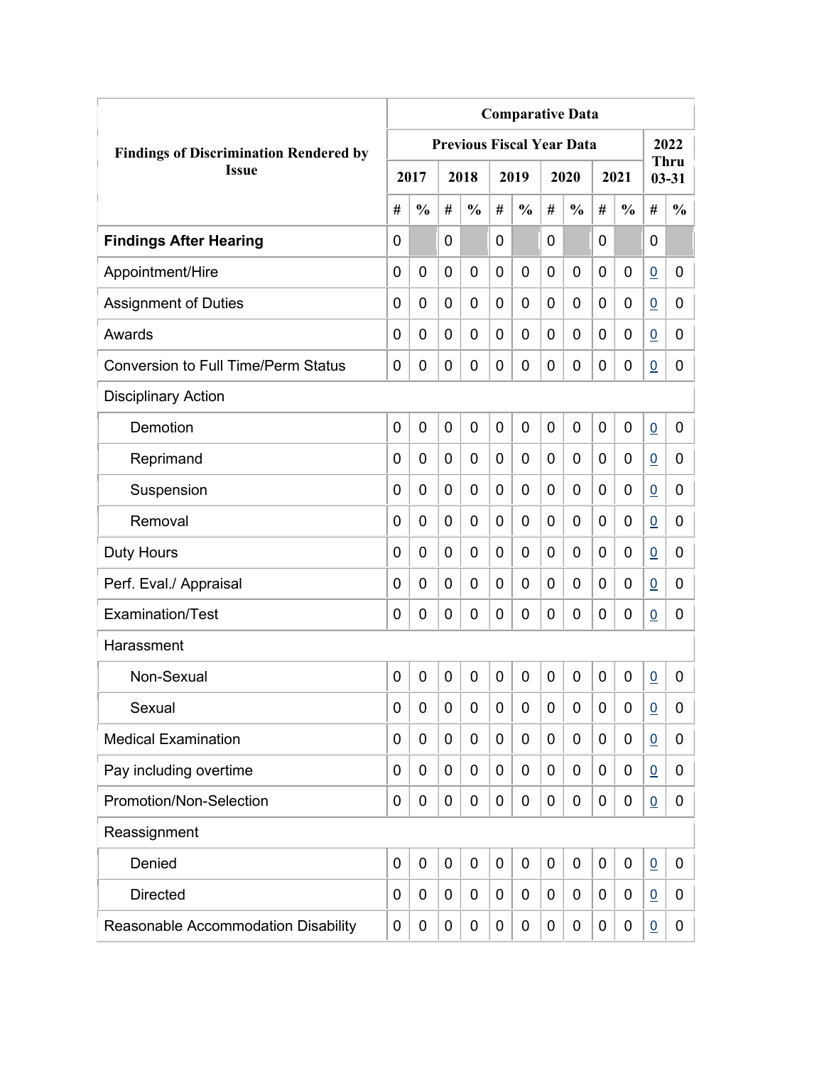|                                               | <b>Comparative Data</b> |               |                |                                  |                |               |                |               |             |               |                 |                          |
|-----------------------------------------------|-------------------------|---------------|----------------|----------------------------------|----------------|---------------|----------------|---------------|-------------|---------------|-----------------|--------------------------|
| <b>Findings of Discrimination Rendered by</b> |                         |               |                | <b>Previous Fiscal Year Data</b> |                |               |                |               |             |               |                 | 2022                     |
| <b>Issue</b>                                  |                         | 2017          |                | 2018                             |                | 2019          |                | 2020          |             | 2021          |                 | <b>Thru</b><br>$03 - 31$ |
|                                               | #                       | $\frac{0}{0}$ | #              | $\frac{0}{0}$                    | #              | $\frac{0}{0}$ | #              | $\frac{0}{0}$ | #           | $\frac{0}{0}$ | #               | $\frac{0}{0}$            |
| <b>Findings After Hearing</b>                 | 0                       |               | 0              |                                  | $\overline{0}$ |               | 0              |               | 0           |               | $\mathbf 0$     |                          |
| Appointment/Hire                              | 0                       | $\mathbf 0$   | 0              | $\overline{0}$                   | $\mathbf 0$    | 0             | 0              | 0             | 0           | $\mathbf 0$   | $\underline{0}$ | 0                        |
| <b>Assignment of Duties</b>                   | 0                       | 0             | 0              | 0                                | $\mathbf 0$    | 0             | 0              | 0             | 0           | $\mathbf 0$   | $\underline{0}$ | 0                        |
| Awards                                        | 0                       | 0             | 0              | 0                                | 0              | 0             | $\overline{0}$ | 0             | 0           | 0             | $\overline{0}$  | 0                        |
| <b>Conversion to Full Time/Perm Status</b>    | 0                       | 0             | 0              | 0                                | $\mathbf 0$    | 0             | 0              | 0             | 0           | $\mathbf 0$   | $\underline{0}$ | 0                        |
| <b>Disciplinary Action</b>                    |                         |               |                |                                  |                |               |                |               |             |               |                 |                          |
| Demotion                                      | 0                       | $\mathbf 0$   | 0              | 0                                | $\mathbf 0$    | 0             | $\overline{0}$ | 0             | 0           | $\mathbf 0$   | $\underline{0}$ | 0                        |
| Reprimand                                     | 0                       | 0             | 0              | $\overline{0}$                   | $\mathbf 0$    | 0             | 0              | 0             | 0           | $\mathbf 0$   | $\overline{0}$  | 0                        |
| Suspension                                    | 0                       | 0             | 0              | 0                                | 0              | 0             | 0              | 0             | 0           | $\mathbf 0$   | $\underline{0}$ | 0                        |
| Removal                                       | 0                       | 0             | 0              | 0                                | $\mathbf 0$    | 0             | 0              | 0             | 0           | $\mathbf 0$   | $\overline{0}$  | 0                        |
| <b>Duty Hours</b>                             | 0                       | 0             | 0              | 0                                | $\mathbf 0$    | 0             | 0              | 0             | 0           | $\mathbf 0$   | $\overline{0}$  | 0                        |
| Perf. Eval./ Appraisal                        | 0                       | 0             | 0              | 0                                | $\mathbf 0$    | 0             | 0              | 0             | 0           | $\mathbf 0$   | $\overline{0}$  | 0                        |
| Examination/Test                              | 0                       | 0             | 0              | 0                                | $\mathbf 0$    | 0             | $\mathbf 0$    | 0             | 0           | $\mathbf 0$   | $\overline{0}$  | 0                        |
| Harassment                                    |                         |               |                |                                  |                |               |                |               |             |               |                 |                          |
| Non-Sexual                                    | 0                       | $\mathbf 0$   | $\overline{0}$ | $\overline{0}$                   | $\mathbf 0$    | 0             | $\mathbf 0$    | 0             | $\mathbf 0$ | 0             | $\underline{0}$ | 0                        |
| Sexual                                        | 0                       | 0             | 0              | 0                                | $\mathbf 0$    | 0             | 0              | 0             | 0           | $\mathbf 0$   | $\underline{0}$ | 0                        |
| <b>Medical Examination</b>                    | 0                       | 0             | 0              | 0                                | $\mathbf 0$    | 0             | 0              | 0             | 0           | $\mathbf 0$   | $\underline{0}$ | 0                        |
| Pay including overtime                        | 0                       | 0             | 0              | 0                                | $\mathbf 0$    | 0             | 0              | 0             | 0           | $\mathbf 0$   | $\overline{0}$  | 0                        |
| Promotion/Non-Selection                       | 0                       | 0             | 0              | 0                                | $\mathbf 0$    | 0             | 0              | 0             | 0           | $\mathbf 0$   | $\underline{0}$ | 0                        |
| Reassignment                                  |                         |               |                |                                  |                |               |                |               |             |               |                 |                          |
| Denied                                        | 0                       | $\mathbf 0$   | $\mathbf 0$    | 0                                | $\mathbf 0$    | 0             | 0              | 0             | 0           | $\mathbf 0$   | $\underline{0}$ | 0                        |
| <b>Directed</b>                               | 0                       | 0             | 0              | 0                                | $\mathbf 0$    | 0             | 0              | 0             | 0           | $\mathbf 0$   | $\overline{0}$  | 0                        |
| Reasonable Accommodation Disability           | 0                       | 0             | 0              | 0                                | $\mathbf 0$    | 0             | 0              | 0             | 0           | $\mathbf 0$   | $\underline{0}$ | 0                        |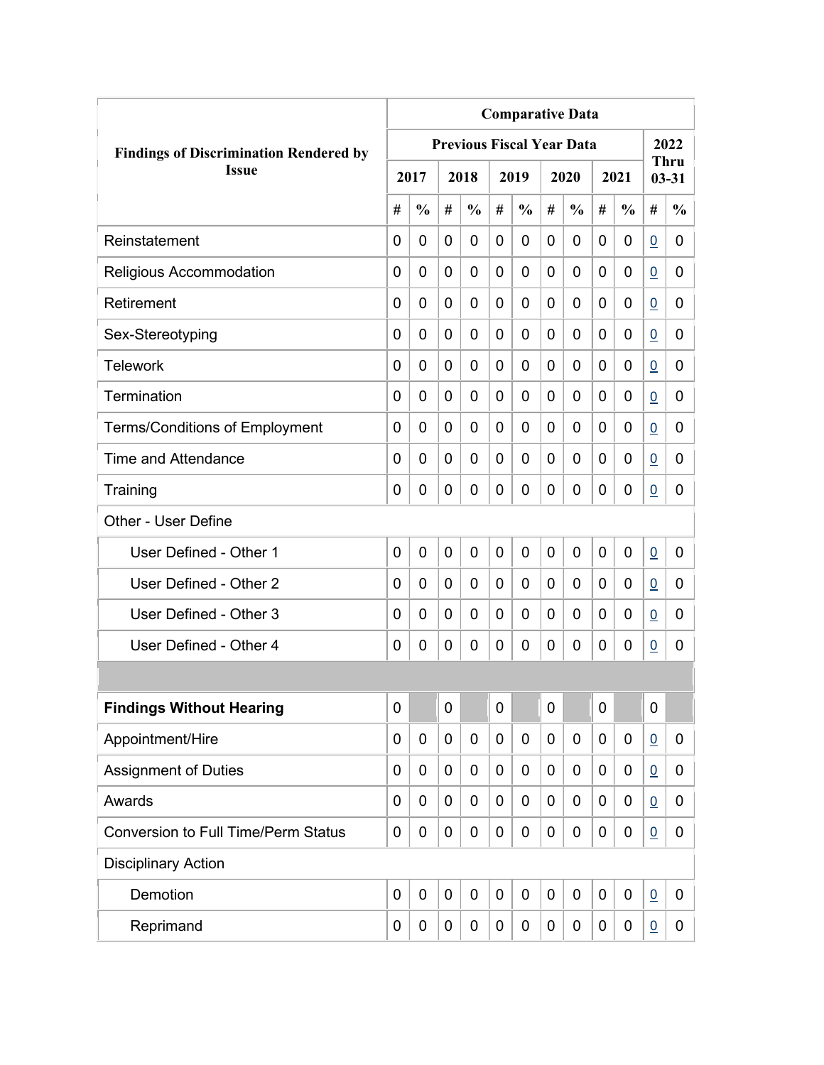|                                               | <b>Comparative Data</b> |               |              |                                  |                |                |   |               |             |               |                 |                          |  |
|-----------------------------------------------|-------------------------|---------------|--------------|----------------------------------|----------------|----------------|---|---------------|-------------|---------------|-----------------|--------------------------|--|
| <b>Findings of Discrimination Rendered by</b> |                         |               |              | <b>Previous Fiscal Year Data</b> |                |                |   |               |             |               |                 | 2022                     |  |
| <b>Issue</b>                                  |                         | 2017          |              | 2018                             |                | 2019           |   | 2020          |             | 2021          |                 | <b>Thru</b><br>$03 - 31$ |  |
|                                               | #                       | $\frac{0}{0}$ | #            | $\frac{0}{0}$                    | #              | $\frac{0}{0}$  | # | $\frac{0}{0}$ | #           | $\frac{0}{0}$ | #               | $\frac{0}{0}$            |  |
| Reinstatement                                 | 0                       | 0             | 0            | 0                                | 0              | 0              | 0 | 0             | 0           | 0             | $\overline{0}$  | 0                        |  |
| Religious Accommodation                       | 0                       | 0             | 0            | 0                                | $\overline{0}$ | $\overline{0}$ | 0 | 0             | 0           | 0             | $\overline{0}$  | 0                        |  |
| Retirement                                    | 0                       | 0             | 0            | 0                                | 0              | $\mathbf 0$    | 0 | 0             | 0           | 0             | $\overline{0}$  | 0                        |  |
| Sex-Stereotyping                              | 0                       | 0             | 0            | 0                                | 0              | 0              | 0 | 0             | 0           | 0             | $\overline{0}$  | 0                        |  |
| <b>Telework</b>                               | 0                       | 0             | 0            | 0                                | 0              | 0              | 0 | 0             | 0           | 0             | $\overline{0}$  | 0                        |  |
| Termination                                   | 0                       | 0             | 0            | 0                                | 0              | 0              | 0 | 0             | 0           | 0             | $\overline{0}$  | 0                        |  |
| <b>Terms/Conditions of Employment</b>         | 0                       | 0             | 0            | 0                                | 0              | 0              | 0 | 0             | 0           | 0             | $\overline{0}$  | 0                        |  |
| Time and Attendance                           | 0                       | 0             | 0            | 0                                | 0              | 0              | 0 | 0             | 0           | 0             | $\overline{0}$  | 0                        |  |
| Training                                      | 0                       | 0             | 0            | 0                                | 0              | $\mathbf 0$    | 0 | 0             | 0           | 0             | $\overline{0}$  | 0                        |  |
| Other - User Define                           |                         |               |              |                                  |                |                |   |               |             |               |                 |                          |  |
| User Defined - Other 1                        | 0                       | 0             | $\mathbf{0}$ | 0                                | $\overline{0}$ | $\mathbf 0$    | 0 | 0             | $\mathbf 0$ | 0             | $\overline{0}$  | 0                        |  |
| User Defined - Other 2                        | 0                       | 0             | 0            | 0                                | 0              | 0              | 0 | 0             | 0           | 0             | $\overline{0}$  | 0                        |  |
| User Defined - Other 3                        | 0                       | 0             | 0            | 0                                | 0              | 0              | 0 | 0             | 0           | 0             | 0               | 0                        |  |
| User Defined - Other 4                        | 0                       | 0             | 0            | 0                                | 0              | 0              | 0 | 0             | 0           | 0             | $\overline{0}$  | 0                        |  |
|                                               |                         |               |              |                                  |                |                |   |               |             |               |                 |                          |  |
| <b>Findings Without Hearing</b>               | 0                       |               | $\pmb{0}$    |                                  | $\mathbf 0$    |                | 0 |               | 0           |               | $\mathbf 0$     |                          |  |
| Appointment/Hire                              | 0                       | 0             | 0            | $\mathbf 0$                      | $\mathbf 0$    | $\mathbf 0$    | 0 | $\mathbf 0$   | 0           | 0             | $\overline{0}$  | 0                        |  |
| <b>Assignment of Duties</b>                   | 0                       | 0             | 0            | 0                                | 0              | $\mathbf 0$    | 0 | 0             | 0           | 0             | $\overline{0}$  | 0                        |  |
| Awards                                        | 0                       | 0             | 0            | 0                                | $\mathbf 0$    | 0              | 0 | 0             | 0           | 0             | $\overline{0}$  | 0                        |  |
| <b>Conversion to Full Time/Perm Status</b>    | 0                       | 0             | 0            | 0                                | 0              | $\mathbf 0$    | 0 | $\mathbf 0$   | 0           | 0             | $\overline{0}$  | 0                        |  |
| <b>Disciplinary Action</b>                    |                         |               |              |                                  |                |                |   |               |             |               |                 |                          |  |
| Demotion                                      | $\mathbf 0$             | $\mathbf 0$   | $\mathbf 0$  | $\mathbf 0$                      | $\mathbf 0$    | $\mathbf 0$    | 0 | $\mathbf 0$   | 0           | $\mathbf 0$   | $\underline{0}$ | 0                        |  |
| Reprimand                                     | 0                       | 0             | 0            | 0                                | 0              | $\mathbf 0$    | 0 | $\pmb{0}$     | 0           | 0             | $\overline{0}$  | $\mathbf{0}$             |  |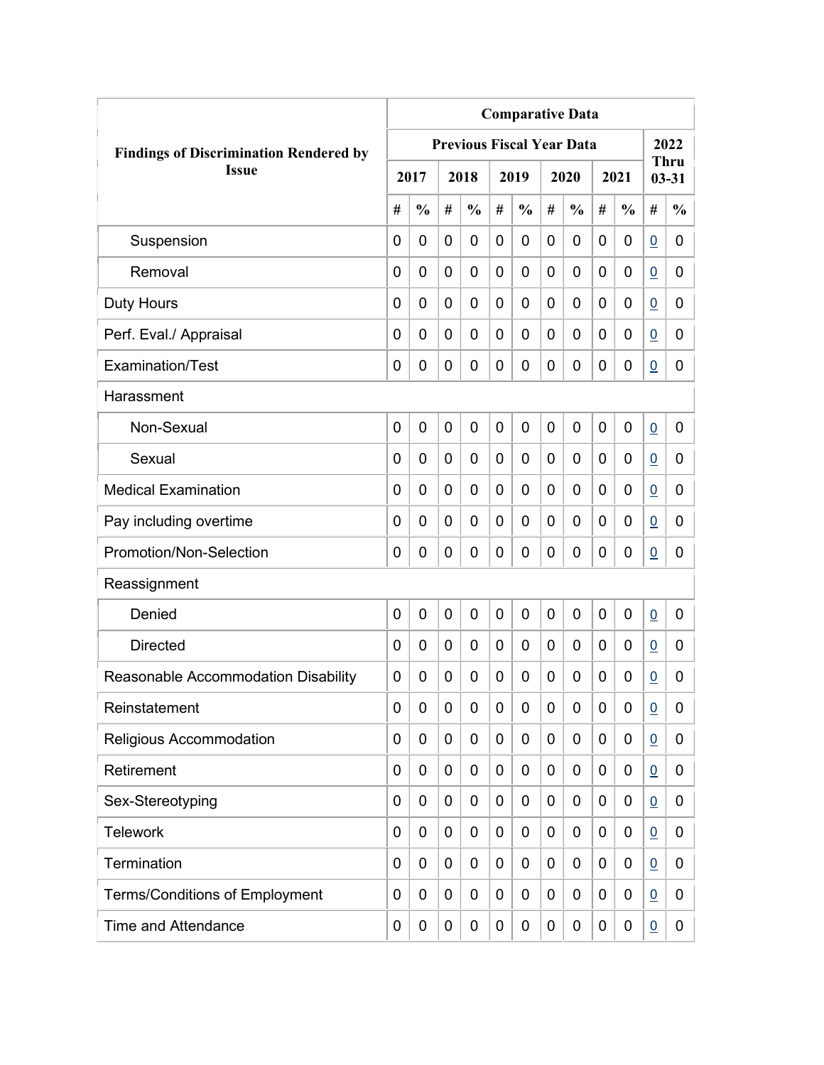|                                               | <b>Comparative Data</b> |                |   |                                  |             |               |             |               |   |               |                 |                          |  |
|-----------------------------------------------|-------------------------|----------------|---|----------------------------------|-------------|---------------|-------------|---------------|---|---------------|-----------------|--------------------------|--|
| <b>Findings of Discrimination Rendered by</b> |                         |                |   | <b>Previous Fiscal Year Data</b> |             |               |             |               |   |               |                 | 2022                     |  |
| <b>Issue</b>                                  |                         | 2017           |   | 2018                             |             | 2019          |             | 2020          |   | 2021          |                 | <b>Thru</b><br>$03 - 31$ |  |
|                                               | #                       | $\frac{0}{0}$  | # | $\frac{0}{0}$                    | #           | $\frac{0}{0}$ | #           | $\frac{0}{0}$ | # | $\frac{0}{0}$ | #               | $\frac{0}{0}$            |  |
| Suspension                                    | 0                       | $\mathbf 0$    | 0 | $\overline{0}$                   | 0           | 0             | 0           | 0             | 0 | $\mathbf 0$   | $\overline{0}$  | 0                        |  |
| Removal                                       | 0                       | 0              | 0 | $\overline{0}$                   | $\mathbf 0$ | 0             | 0           | 0             | 0 | $\mathbf 0$   | $\underline{0}$ | 0                        |  |
| Duty Hours                                    | 0                       | 0              | 0 | 0                                | 0           | 0             | 0           | 0             | 0 | $\mathbf 0$   | $\overline{0}$  | 0                        |  |
| Perf. Eval./ Appraisal                        | 0                       | 0              | 0 | 0                                | 0           | 0             | 0           | 0             | 0 | 0             | $\overline{0}$  | 0                        |  |
| <b>Examination/Test</b>                       | 0                       | 0              | 0 | 0                                | $\mathbf 0$ | 0             | 0           | 0             | 0 | $\mathbf 0$   | $\overline{0}$  | 0                        |  |
| Harassment                                    |                         |                |   |                                  |             |               |             |               |   |               |                 |                          |  |
| Non-Sexual                                    | 0                       | $\overline{0}$ | 0 | 0                                | $\mathbf 0$ | 0             | $\mathbf 0$ | $\mathbf 0$   | 0 | $\mathbf 0$   | $\underline{0}$ | 0                        |  |
| Sexual                                        | 0                       | 0              | 0 | $\overline{0}$                   | 0           | 0             | 0           | 0             | 0 | $\mathbf 0$   | $\overline{0}$  | 0                        |  |
| <b>Medical Examination</b>                    | 0                       | 0              | 0 | $\overline{0}$                   | 0           | 0             | 0           | 0             | 0 | $\mathbf 0$   | $\overline{0}$  | 0                        |  |
| Pay including overtime                        | 0                       | 0              | 0 | 0                                | 0           | 0             | 0           | 0             | 0 | $\mathbf 0$   | $\overline{0}$  | 0                        |  |
| Promotion/Non-Selection                       | 0                       | 0              | 0 | 0                                | $\mathbf 0$ | 0             | 0           | 0             | 0 | $\mathbf 0$   | $\overline{0}$  | 0                        |  |
| Reassignment                                  |                         |                |   |                                  |             |               |             |               |   |               |                 |                          |  |
| Denied                                        | 0                       | $\mathbf 0$    | 0 | $\overline{0}$                   | $\mathbf 0$ | 0             | 0           | 0             | 0 | $\mathbf 0$   | $\underline{0}$ | 0                        |  |
| <b>Directed</b>                               | 0                       | $\mathbf 0$    | 0 | 0                                | $\mathbf 0$ | 0             | 0           | 0             | 0 | $\mathbf 0$   | $\overline{0}$  | 0                        |  |
| Reasonable Accommodation Disability           | 0                       | 0              | 0 | 0                                | 0           | 0             | 0           | 0             | 0 | 0             | $\overline{0}$  | 0                        |  |
| Reinstatement                                 | 0                       | 0              | 0 | 0                                | $\mathbf 0$ | 0             | 0           | 0             | 0 | $\mathbf 0$   | $\underline{0}$ | 0                        |  |
| Religious Accommodation                       | 0                       | 0              | 0 | 0                                | 0           | 0             | 0           | 0             | 0 | $\mathbf 0$   | $\overline{0}$  | 0                        |  |
| Retirement                                    | 0                       | 0              | 0 | 0                                | $\mathbf 0$ | 0             | 0           | 0             | 0 | $\mathbf 0$   | $\underline{0}$ | 0                        |  |
| Sex-Stereotyping                              | 0                       | 0              | 0 | 0                                | 0           | 0             | 0           | 0             | 0 | 0             | $\overline{0}$  | 0                        |  |
| <b>Telework</b>                               | 0                       | 0              | 0 | 0                                | 0           | 0             | 0           | 0             | 0 | 0             | $\overline{0}$  | 0                        |  |
| Termination                                   | 0                       | 0              | 0 | 0                                | $\mathbf 0$ | 0             | 0           | 0             | 0 | $\mathbf 0$   | $\overline{0}$  | 0                        |  |
| <b>Terms/Conditions of Employment</b>         | 0                       | 0              | 0 | 0                                | 0           | 0             | 0           | 0             | 0 | $\mathbf 0$   | $\overline{0}$  | 0                        |  |
| <b>Time and Attendance</b>                    | 0                       | 0              | 0 | 0                                | $\mathbf 0$ | 0             | 0           | 0             | 0 | $\mathbf 0$   | $\underline{0}$ | 0                        |  |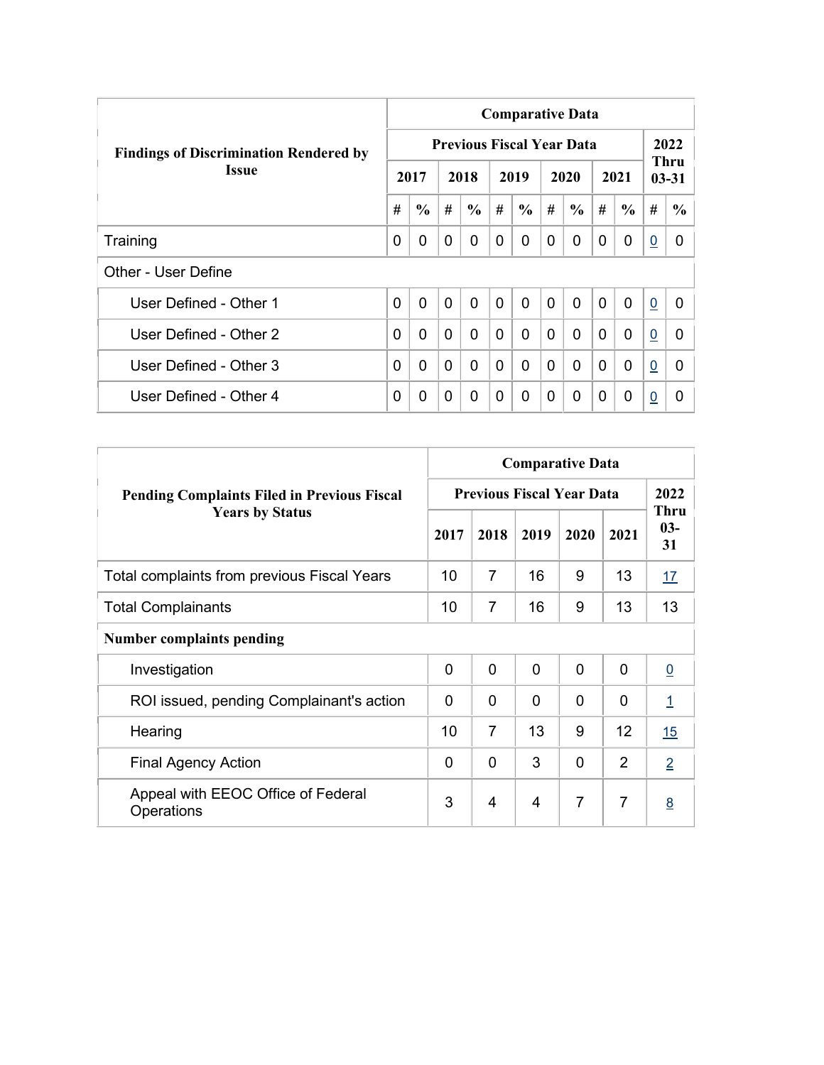|                                               | <b>Comparative Data</b> |               |                |                                  |                |                |              |               |             |               |                |                   |  |  |
|-----------------------------------------------|-------------------------|---------------|----------------|----------------------------------|----------------|----------------|--------------|---------------|-------------|---------------|----------------|-------------------|--|--|
| <b>Findings of Discrimination Rendered by</b> |                         |               |                | <b>Previous Fiscal Year Data</b> |                |                |              |               |             |               |                | 2022              |  |  |
| <b>Issue</b>                                  |                         | 2017          |                | 2018                             |                | 2019           |              | 2020          |             | 2021          |                | Thru<br>$03 - 31$ |  |  |
|                                               | #                       | $\frac{6}{6}$ | #              | $\frac{6}{6}$                    | #              | $\frac{6}{6}$  | #            | $\frac{6}{6}$ | #           | $\frac{6}{6}$ | #              | $\frac{6}{6}$     |  |  |
| Training                                      | 0                       | 0             | $\Omega$       | 0                                | 0              | $\Omega$       | 0            | $\Omega$      | $\Omega$    | 0             | $\overline{0}$ | 0                 |  |  |
| Other - User Define                           |                         |               |                |                                  |                |                |              |               |             |               |                |                   |  |  |
| User Defined - Other 1                        | 0                       | $\mathbf 0$   | $\overline{0}$ | $\mathbf{0}$                     | $\overline{0}$ | $\overline{0}$ | $\mathbf{0}$ | $\mathbf{0}$  | $\mathbf 0$ | $\mathbf{0}$  | $\overline{0}$ | $\Omega$          |  |  |
| User Defined - Other 2                        | 0                       | $\Omega$      | $\mathbf{0}$   | 0                                | $\mathbf 0$    | 0              | $\Omega$     | $\mathbf{0}$  | $\Omega$    | $\mathbf{0}$  | $\overline{0}$ | 0                 |  |  |
| User Defined - Other 3                        | 0                       | $\Omega$      | $\Omega$       | 0                                | $\mathbf{0}$   | 0              | $\Omega$     | $\mathbf{0}$  | $\Omega$    | $\Omega$      | $\overline{0}$ | 0                 |  |  |
| User Defined - Other 4                        | 0                       | 0             | $\Omega$       | 0                                | 0              | $\Omega$       | 0            | $\Omega$      | 0           | $\mathbf 0$   | $\overline{0}$ | $\Omega$          |  |  |

|                                                    | <b>Comparative Data</b>          |                |                |              |                |                            |  |  |  |  |  |
|----------------------------------------------------|----------------------------------|----------------|----------------|--------------|----------------|----------------------------|--|--|--|--|--|
| <b>Pending Complaints Filed in Previous Fiscal</b> | <b>Previous Fiscal Year Data</b> |                |                |              |                |                            |  |  |  |  |  |
| <b>Years by Status</b>                             | 2017                             | 2018           | 2019           | 2020         | 2021           | <b>Thru</b><br>$03-$<br>31 |  |  |  |  |  |
| Total complaints from previous Fiscal Years        | 10                               | $\overline{7}$ | 16             | 9            | 13             | <u>17</u>                  |  |  |  |  |  |
| <b>Total Complainants</b>                          | 10                               | 7              | 16             | 9            | 13             | 13                         |  |  |  |  |  |
| <b>Number complaints pending</b>                   |                                  |                |                |              |                |                            |  |  |  |  |  |
| Investigation                                      | $\overline{0}$                   | 0              | $\overline{0}$ | $\mathbf{0}$ | $\overline{0}$ | $\underline{0}$            |  |  |  |  |  |
| ROI issued, pending Complainant's action           | $\Omega$                         | $\Omega$       | $\Omega$       | 0            | 0              | $\overline{1}$             |  |  |  |  |  |
| Hearing                                            | 10                               | $\overline{7}$ | 13             | 9            | 12             | 15                         |  |  |  |  |  |
| <b>Final Agency Action</b>                         | $\Omega$                         | 0              | 3              | 0            | 2              | $\overline{2}$             |  |  |  |  |  |
| Appeal with EEOC Office of Federal<br>Operations   | 3                                | 4              | 4              | 7            | $\overline{7}$ | 8                          |  |  |  |  |  |